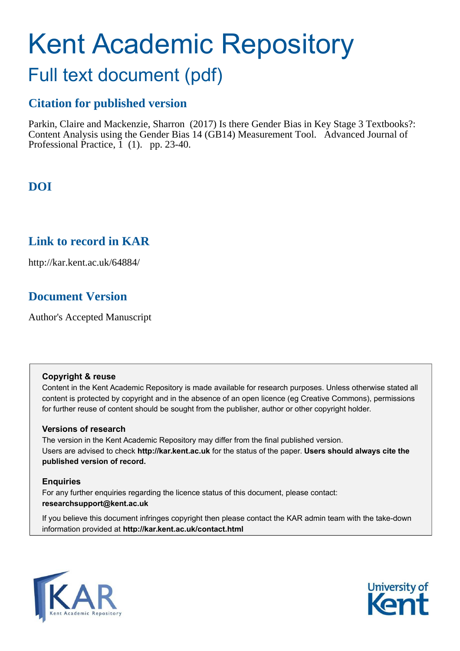# Kent Academic Repository

# Full text document (pdf)

# **Citation for published version**

Parkin, Claire and Mackenzie, Sharron (2017) Is there Gender Bias in Key Stage 3 Textbooks?: Content Analysis using the Gender Bias 14 (GB14) Measurement Tool. Advanced Journal of Professional Practice, 1 (1). pp. 23-40.

# **DOI**

# **Link to record in KAR**

http://kar.kent.ac.uk/64884/

# **Document Version**

Author's Accepted Manuscript

# **Copyright & reuse**

Content in the Kent Academic Repository is made available for research purposes. Unless otherwise stated all content is protected by copyright and in the absence of an open licence (eg Creative Commons), permissions for further reuse of content should be sought from the publisher, author or other copyright holder.

# **Versions of research**

The version in the Kent Academic Repository may differ from the final published version. Users are advised to check **http://kar.kent.ac.uk** for the status of the paper. **Users should always cite the published version of record.**

# **Enquiries**

For any further enquiries regarding the licence status of this document, please contact: **researchsupport@kent.ac.uk**

If you believe this document infringes copyright then please contact the KAR admin team with the take-down information provided at **http://kar.kent.ac.uk/contact.html**



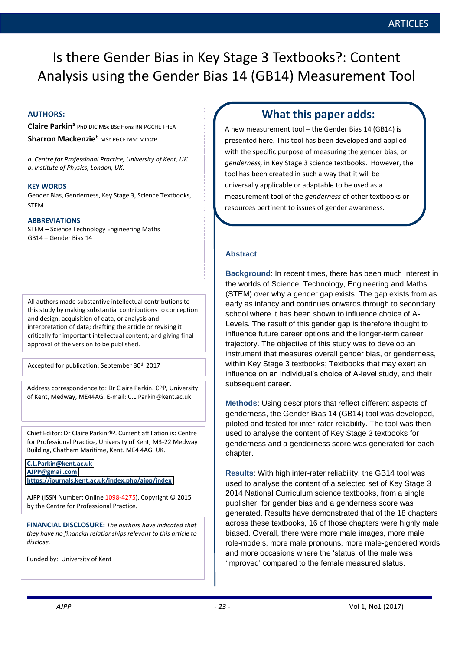Is there Gender Bias in Key Stage 3 Textbooks?: Content Analysis using the Gender Bias 14 (GB14) Measurement Tool

**THE ASSESS AUTHORS:**<br> **Claire Parkin<sup>a</sup> PhD DIC MSc BSc Hons RN PGCHE FHEA** A new measurement tool – the Gender Bi

**Sharron Mackenzieb** MSc PGCE MSc MInstp

*a. Centre for Professional Practice, University of Kent, UK. b. Institute of Physics, London, UK.* 

### **KEY WORDS**

Gender Bias, Genderness, Key Stage 3, Science Textbooks, **STEM** 

### **ABBREVIATIONS**

STEM - Science Technology Engineering Maths  $GBA4 - Gender Bias 14$ 

All authors made substantive intellectual contributions to this study by making substantial contributions to conception and design, acquisition of data, or analysis and interpretation of data; drafting the article or revising it critically for important intellectual content; and giving final approval of the version to be published.

Accepted for publication: September 30th 2017

Address correspondence to: Dr Claire Parkin. CPP, University of Kent, Medway, ME44AG. E-mail: C.L.Parkin@kent.ac.uk

Chief Editor: Dr Claire ParkinPhD. Current affiliation is: Centre for Professional Practice, University of Kent, M3-22 Medway Building, Chatham Maritime, Kent. ME4 4AG. UK.

**[C.L.Parkin@kent.ac.uk](mailto:C.L.Parkin@kent.ac.uk)  [AJPP@gmail.com](mailto:AJPP@gmail.com)  <https://journals.kent.ac.uk/index.php/ajpp/index>**

AJPP (ISSN Number: Online 1098-4275). Copyright © 2015 by the Centre for Professional Practice.

**FINANCIAL DISCLOSURE:** *The authors have indicated that they have no financial relationships relevant to this article to disclose.* 

Funded by: University of Kent

# **What this paper adds:**

A new measurement tool - the Gender Bias 14 (GB14) is presented here. This tool has been developed and applied with the specific purpose of measuring the gender bias, or *genderness,* in Key Stage 3 science textbooks. However, the tool has been created in such a way that it will be universally applicable or adaptable to be used as a measurement tool of the *genderness* of other textbooks or resources pertinent to issues of gender awareness.

## **Abstract**

**Background**: In recent times, there has been much interest in the worlds of Science, Technology, Engineering and Maths (STEM) over why a gender gap exists. The gap exists from as early as infancy and continues onwards through to secondary school where it has been shown to influence choice of A-Levels. The result of this gender gap is therefore thought to influence future career options and the longer-term career trajectory. The objective of this study was to develop an instrument that measures overall gender bias, or genderness, within Key Stage 3 textbooks; Textbooks that may exert an influence on an individual's choice of A-level study, and their subsequent career.

**Methods**: Using descriptors that reflect different aspects of genderness, the Gender Bias 14 (GB14) tool was developed, piloted and tested for inter-rater reliability. The tool was then used to analyse the content of Key Stage 3 textbooks for genderness and a genderness score was generated for each chapter.

**Results**: With high inter-rater reliability, the GB14 tool was used to analyse the content of a selected set of Key Stage 3 2014 National Curriculum science textbooks, from a single publisher, for gender bias and a genderness score was generated. Results have demonstrated that of the 18 chapters across these textbooks, 16 of those chapters were highly male biased. Overall, there were more male images, more male role-models, more male pronouns, more male-gendered words and more occasions where the 'status' of the male was 'improved' compared to the female measured status.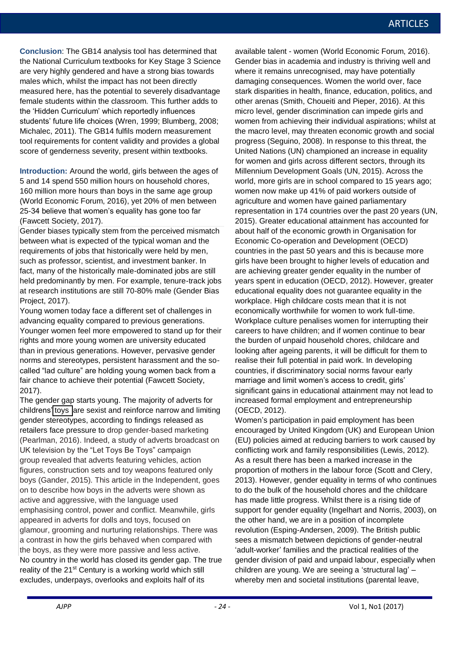**Conclusion**: The GB14 analysis tool has determined that the National Curriculum textbooks for Key Stage 3 Science are very highly gendered and have a strong bias towards males which, whilst the impact has not been directly measured here, has the potential to severely disadvantage female students within the classroom. This further adds to the 'Hidden Curriculum' which reportedly influences students' future life choices (Wren, 1999; Blumberg, 2008; Michalec, 2011). The GB14 fulfils modern measurement tool requirements for content validity and provides a global score of genderness severity, present within textbooks.

**Introduction:** Around the world, girls between the ages of 5 and 14 spend 550 million hours on household chores, 160 million more hours than boys in the same age group (World Economic Forum, 2016), yet 20% of men between 25-34 believe that women's equality has gone too far (Fawcett Society, 2017).

Gender biases typically stem from the perceived mismatch between what is expected of the typical woman and the requirements of jobs that historically were held by men, such as professor, scientist, and investment banker. In fact, many of the historically male-dominated jobs are still held predominantly by men. For example, tenure-track jobs at research institutions are still 70-80% male (Gender Bias Project, 2017).

Young women today face a different set of challenges in advancing equality compared to previous generations. Younger women feel more empowered to stand up for their rights and more young women are university educated than in previous generations. However, pervasive gender norms and stereotypes, persistent harassment and the socalled "lad culture" are holding young women back from a fair chance to achieve their potential (Fawcett Society, 2017).

The gender gap starts young. The majority of adverts for childrens' [toys](http://www.independent.co.uk/topic/Toys) are sexist and reinforce narrow and limiting gender stereotypes, according to findings released as retailers face pressure to drop gender-based marketing (Pearlman, 2016). Indeed, a study of adverts broadcast on UK television by the "Let Toys Be Toys" campaign group revealed that adverts featuring vehicles, action figures, construction sets and toy weapons featured only boys (Gander, 2015). This article in the Independent, goes on to describe how boys in the adverts were shown as active and aggressive, with the language used emphasising control, power and conflict. Meanwhile, girls appeared in adverts for dolls and toys, focused on glamour, grooming and nurturing relationships. There was a contrast in how the girls behaved when compared with the boys, as they were more passive and less active. No country in the world has closed its gender gap. The true reality of the 21<sup>st</sup> Century is a working world which still excludes, underpays, overlooks and exploits half of its

available talent - women (World Economic Forum, 2016). Gender bias in academia and industry is thriving well and where it remains unrecognised, may have potentially damaging consequences. Women the world over, face stark disparities in health, finance, education, politics, and other arenas (Smith, Choueiti and Pieper, 2016). At this micro level, gender discrimination can impede girls and women from achieving their individual aspirations; whilst at the macro level, may threaten economic growth and social progress (Seguino, 2008). In response to this threat, the United Nations (UN) championed an increase in equality for women and girls across different sectors, through its Millennium Development Goals (UN, 2015). Across the world, more girls are in school compared to 15 years ago; women now make up 41% of paid workers outside of agriculture and women have gained parliamentary representation in 174 countries over the past 20 years (UN, 2015). Greater educational attainment has accounted for about half of the economic growth in Organisation for Economic Co-operation and Development (OECD) countries in the past 50 years and this is because more girls have been brought to higher levels of education and are achieving greater gender equality in the number of years spent in education (OECD, 2012). However, greater educational equality does not guarantee equality in the workplace. High childcare costs mean that it is not economically worthwhile for women to work full-time. Workplace culture penalises women for interrupting their careers to have children; and if women continue to bear the burden of unpaid household chores, childcare and looking after ageing parents, it will be difficult for them to realise their full potential in paid work. In developing countries, if discriminatory social norms favour early marriage and limit women's access to credit, girls' significant gains in educational attainment may not lead to increased formal employment and entrepreneurship (OECD, 2012).

Women's participation in paid employment has been encouraged by United Kingdom (UK) and European Union (EU) policies aimed at reducing barriers to work caused by conflicting work and family responsibilities (Lewis, 2012). As a result there has been a marked increase in the proportion of mothers in the labour force (Scott and Clery, 2013). However, gender equality in terms of who continues to do the bulk of the household chores and the childcare has made little progress. Whilst there is a rising tide of support for gender equality (Ingelhart and Norris, 2003), on the other hand, we are in a position of incomplete revolution (Esping-Andersen, 2009). The British public sees a mismatch between depictions of gender-neutral 'adult-worker' families and the practical realities of the gender division of paid and unpaid labour, especially when children are young. We are seeing a 'structural lag' – whereby men and societal institutions (parental leave,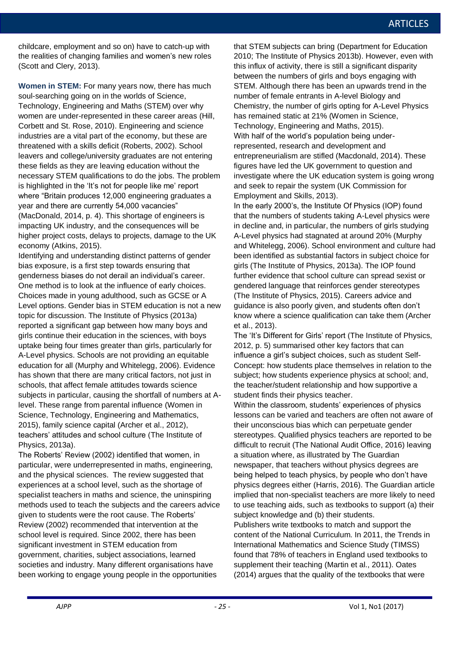childcare, employment and so on) have to catch-up with the realities of changing families and women's new roles (Scott and Clery, 2013).

**Women in STEM:** For many years now, there has much soul-searching going on in the worlds of Science, Technology, Engineering and Maths (STEM) over why women are under-represented in these career areas (Hill, Corbett and St. Rose, 2010). Engineering and science industries are a vital part of the economy, but these are threatened with a skills deficit (Roberts, 2002). School leavers and college/university graduates are not entering these fields as they are leaving education without the necessary STEM qualifications to do the jobs. The problem is highlighted in the 'It's not for people like me' report where "Britain produces 12,000 engineering graduates a year and there are currently 54,000 vacancies" (MacDonald, 2014, p. 4). This shortage of engineers is impacting UK industry, and the consequences will be higher project costs, delays to projects, damage to the UK economy (Atkins, 2015).

Identifying and understanding distinct patterns of gender bias exposure, is a first step towards ensuring that genderness biases do not derail an individual's career. One method is to look at the influence of early choices. Choices made in young adulthood, such as GCSE or A Level options. Gender bias in STEM education is not a new topic for discussion. The Institute of Physics (2013a) reported a significant gap between how many boys and girls continue their education in the sciences, with boys uptake being four times greater than girls, particularly for A-Level physics. Schools are not providing an equitable education for all (Murphy and Whitelegg, 2006). Evidence has shown that there are many critical factors, not just in schools, that affect female attitudes towards science subjects in particular, causing the shortfall of numbers at Alevel. These range from parental influence (Women in Science, Technology, Engineering and Mathematics, 2015), family science capital (Archer et al., 2012), teachers' attitudes and school culture (The Institute of Physics, 2013a).

The Roberts' Review (2002) identified that women, in particular, were underrepresented in maths, engineering, and the physical sciences. The review suggested that experiences at a school level, such as the shortage of specialist teachers in maths and science, the uninspiring methods used to teach the subjects and the careers advice given to students were the root cause. The Roberts' Review (2002) recommended that intervention at the school level is required. Since 2002, there has been significant investment in STEM education from government, charities, subject associations, learned societies and industry. Many different organisations have been working to engage young people in the opportunities

that STEM subjects can bring (Department for Education 2010; The Institute of Physics 2013b). However, even with this influx of activity, there is still a significant disparity between the numbers of girls and boys engaging with STEM. Although there has been an upwards trend in the number of female entrants in A-level Biology and Chemistry, the number of girls opting for A-Level Physics has remained static at 21% (Women in Science, Technology, Engineering and Maths, 2015). With half of the world's population being underrepresented, research and development and entrepreneurialism are stifled (Macdonald, 2014). These figures have led the UK government to question and investigate where the UK education system is going wrong and seek to repair the system (UK Commission for Employment and Skills, 2013).

In the early 2000's, the Institute Of Physics (IOP) found that the numbers of students taking A-Level physics were in decline and, in particular, the numbers of girls studying A-Level physics had stagnated at around 20% (Murphy and Whitelegg, 2006). School environment and culture had been identified as substantial factors in subject choice for girls (The Institute of Physics, 2013a). The IOP found further evidence that school culture can spread sexist or gendered language that reinforces gender stereotypes (The Institute of Physics, 2015). Careers advice and guidance is also poorly given, and students often don't know where a science qualification can take them (Archer et al., 2013).

The 'It's Different for Girls' report (The Institute of Physics, 2012, p. 5) summarised other key factors that can influence a girl's subject choices, such as student Self-Concept: how students place themselves in relation to the subject; how students experience physics at school; and, the teacher/student relationship and how supportive a student finds their physics teacher.

Within the classroom, students' experiences of physics lessons can be varied and teachers are often not aware of their unconscious bias which can perpetuate gender stereotypes. Qualified physics teachers are reported to be difficult to recruit (The National Audit Office, 2016) leaving a situation where, as illustrated by The Guardian newspaper, that teachers without physics degrees are being helped to teach physics, by people who don't have physics degrees either (Harris, 2016). The Guardian article implied that non-specialist teachers are more likely to need to use teaching aids, such as textbooks to support (a) their subject knowledge and (b) their students. Publishers write textbooks to match and support the content of the National Curriculum. In 2011, the Trends in International Mathematics and Science Study (TIMSS) found that 78% of teachers in England used textbooks to supplement their teaching (Martin et al., 2011). Oates (2014) argues that the quality of the textbooks that were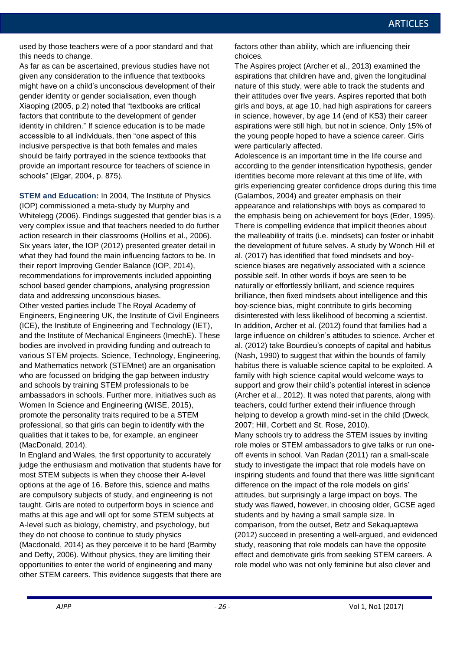used by those teachers were of a poor standard and that this needs to change.

As far as can be ascertained, previous studies have not given any consideration to the influence that textbooks might have on a child's unconscious development of their gender identity or gender socialisation, even though Xiaoping (2005, p.2) noted that "textbooks are critical factors that contribute to the development of gender identity in children." If science education is to be made accessible to all individuals, then "one aspect of this inclusive perspective is that both females and males should be fairly portrayed in the science textbooks that provide an important resource for teachers of science in schools" (Elgar, 2004, p. 875).

**STEM and Education:** In 2004, The Institute of Physics (IOP) commissioned a meta-study by Murphy and Whitelegg (2006). Findings suggested that gender bias is a very complex issue and that teachers needed to do further action research in their classrooms (Hollins et al., 2006). Six years later, the IOP (2012) presented greater detail in what they had found the main influencing factors to be. In their report Improving Gender Balance (IOP, 2014), recommendations for improvements included appointing school based gender champions, analysing progression data and addressing unconscious biases. Other vested parties include The Royal Academy of Engineers, Engineering UK, the Institute of Civil Engineers (ICE), the Institute of Engineering and Technology (IET), and the Institute of Mechanical Engineers (ImechE). These bodies are involved in providing funding and outreach to various STEM projects. Science, Technology, Engineering, and Mathematics network (STEMnet) are an organisation who are focussed on bridging the gap between industry and schools by training STEM professionals to be ambassadors in schools. Further more, initiatives such as Women In Science and Engineering (WISE, 2015), promote the personality traits required to be a STEM professional, so that girls can begin to identify with the qualities that it takes to be, for example, an engineer (MacDonald, 2014).

In England and Wales, the first opportunity to accurately judge the enthusiasm and motivation that students have for most STEM subjects is when they choose their A-level options at the age of 16. Before this, science and maths are compulsory subjects of study, and engineering is not taught. Girls are noted to outperform boys in science and maths at this age and will opt for some STEM subjects at A-level such as biology, chemistry, and psychology, but they do not choose to continue to study physics (Macdonald, 2014) as they perceive it to be hard (Barmby and Defty, 2006). Without physics, they are limiting their opportunities to enter the world of engineering and many other STEM careers. This evidence suggests that there are factors other than ability, which are influencing their choices.

The Aspires project (Archer et al., 2013) examined the aspirations that children have and, given the longitudinal nature of this study, were able to track the students and their attitudes over five years. Aspires reported that both girls and boys, at age 10, had high aspirations for careers in science, however, by age 14 (end of KS3) their career aspirations were still high, but not in science. Only 15% of the young people hoped to have a science career. Girls were particularly affected.

Adolescence is an important time in the life course and according to the gender intensification hypothesis, gender identities become more relevant at this time of life, with girls experiencing greater confidence drops during this time (Galambos, 2004) and greater emphasis on their appearance and relationships with boys as compared to the emphasis being on achievement for boys (Eder, 1995). There is compelling evidence that implicit theories about the malleability of traits (i.e. mindsets) can foster or inhabit the development of future selves. A study by Wonch Hill et al. (2017) has identified that fixed mindsets and boyscience biases are negatively associated with a science possible self. In other words if boys are seen to be naturally or effortlessly brilliant, and science requires brilliance, then fixed mindsets about intelligence and this boy-science bias, might contribute to girls becoming disinterested with less likelihood of becoming a scientist. In addition, Archer et al. (2012) found that families had a large influence on children's attitudes to science. Archer et al. (2012) take Bourdieu's concepts of capital and habitus (Nash, 1990) to suggest that within the bounds of family habitus there is valuable science capital to be exploited. A family with high science capital would welcome ways to support and grow their child's potential interest in science (Archer et al., 2012). It was noted that parents, along with teachers, could further extend their influence through helping to develop a growth mind-set in the child (Dweck, 2007; Hill, Corbett and St. Rose, 2010).

Many schools try to address the STEM issues by inviting role moles or STEM ambassadors to give talks or run oneoff events in school. Van Radan (2011) ran a small-scale study to investigate the impact that role models have on inspiring students and found that there was little significant difference on the impact of the role models on girls' attitudes, but surprisingly a large impact on boys. The study was flawed, however, in choosing older, GCSE aged students and by having a small sample size. In comparison, from the outset, Betz and Sekaquaptewa (2012) succeed in presenting a well-argued, and evidenced study, reasoning that role models can have the opposite effect and demotivate girls from seeking STEM careers. A role model who was not only feminine but also clever and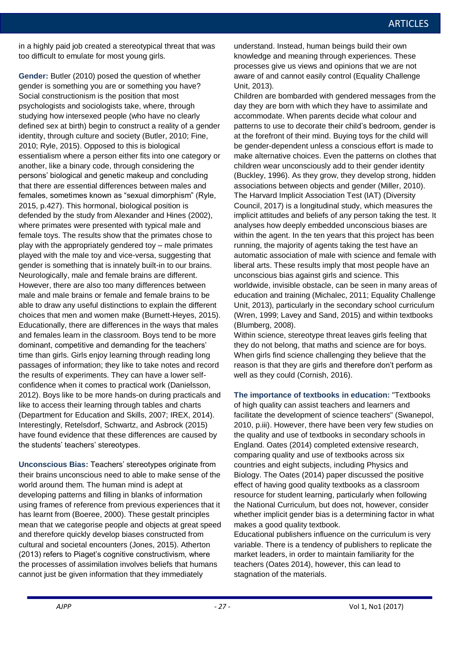in a highly paid job created a stereotypical threat that was too difficult to emulate for most young girls.

**Gender:** Butler (2010) posed the question of whether gender is something you are or something you have? Social constructionism is the position that most psychologists and sociologists take, where, through studying how intersexed people (who have no clearly defined sex at birth) begin to construct a reality of a gender identity, through culture and society (Butler, 2010; Fine, 2010; Ryle, 2015). Opposed to this is biological essentialism where a person either fits into one category or another, like a binary code, through considering the persons' biological and genetic makeup and concluding that there are essential differences between males and females, sometimes known as "sexual dimorphism" (Ryle, 2015, p.427). This hormonal, biological position is defended by the study from Alexander and Hines (2002), where primates were presented with typical male and female toys. The results show that the primates chose to play with the appropriately gendered toy – male primates played with the male toy and vice-versa, suggesting that gender is something that is innately built-in to our brains. Neurologically, male and female brains are different. However, there are also too many differences between male and male brains or female and female brains to be able to draw any useful distinctions to explain the different choices that men and women make (Burnett-Heyes, 2015). Educationally, there are differences in the ways that males and females learn in the classroom. Boys tend to be more dominant, competitive and demanding for the teachers' time than girls. Girls enjoy learning through reading long passages of information; they like to take notes and record the results of experiments. They can have a lower selfconfidence when it comes to practical work (Danielsson, 2012). Boys like to be more hands-on during practicals and like to access their learning through tables and charts (Department for Education and Skills, 2007; IREX, 2014). Interestingly, Retelsdorf, Schwartz, and Asbrock (2015) have found evidence that these differences are caused by the students' teachers' stereotypes.

**Unconscious Bias:** Teachers' stereotypes originate from their brains unconscious need to able to make sense of the world around them. The human mind is adept at developing patterns and filling in blanks of information using frames of reference from previous experiences that it has learnt from (Boeree, 2000). These gestalt principles mean that we categorise people and objects at great speed and therefore quickly develop biases constructed from cultural and societal encounters (Jones, 2015). Atherton (2013) refers to Piaget's cognitive constructivism, where the processes of assimilation involves beliefs that humans cannot just be given information that they immediately

understand. Instead, human beings build their own knowledge and meaning through experiences. These processes give us views and opinions that we are not aware of and cannot easily control (Equality Challenge Unit, 2013).

Children are bombarded with gendered messages from the day they are born with which they have to assimilate and accommodate. When parents decide what colour and patterns to use to decorate their child's bedroom, gender is at the forefront of their mind. Buying toys for the child will be gender-dependent unless a conscious effort is made to make alternative choices. Even the patterns on clothes that children wear unconsciously add to their gender identity (Buckley, 1996). As they grow, they develop strong, hidden associations between objects and gender (Miller, 2010). The Harvard Implicit Association Test (IAT) (Diversity Council, 2017) is a longitudinal study, which measures the implicit attitudes and beliefs of any person taking the test. It analyses how deeply embedded unconscious biases are within the agent. In the ten years that this project has been running, the majority of agents taking the test have an automatic association of male with science and female with liberal arts. These results imply that most people have an unconscious bias against girls and science. This worldwide, invisible obstacle, can be seen in many areas of education and training (Michalec, 2011; Equality Challenge Unit, 2013), particularly in the secondary school curriculum (Wren, 1999; Lavey and Sand, 2015) and within textbooks (Blumberg, 2008).

Within science, stereotype threat leaves girls feeling that they do not belong, that maths and science are for boys. When girls find science challenging they believe that the reason is that they are girls and therefore don't perform as well as they could (Cornish, 2016).

**The importance of textbooks in education:** "Textbooks of high quality can assist teachers and learners and facilitate the development of science teachers" (Swanepol, 2010, p.iii). However, there have been very few studies on the quality and use of textbooks in secondary schools in England. Oates (2014) completed extensive research, comparing quality and use of textbooks across six countries and eight subjects, including Physics and Biology. The Oates (2014) paper discussed the positive effect of having good quality textbooks as a classroom resource for student learning, particularly when following the National Curriculum, but does not, however, consider whether implicit gender bias is a determining factor in what makes a good quality textbook.

Educational publishers influence on the curriculum is very variable. There is a tendency of publishers to replicate the market leaders, in order to maintain familiarity for the teachers (Oates 2014), however, this can lead to stagnation of the materials.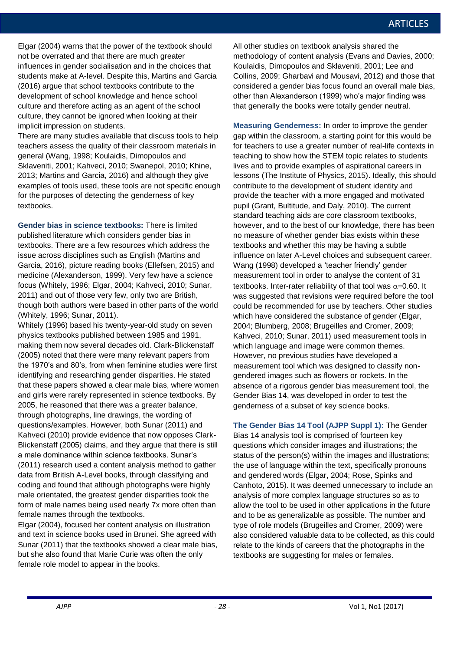Elgar (2004) warns that the power of the textbook should not be overrated and that there are much greater influences in gender socialisation and in the choices that students make at A-level. Despite this, Martins and Garcia (2016) argue that school textbooks contribute to the development of school knowledge and hence school culture and therefore acting as an agent of the school culture, they cannot be ignored when looking at their implicit impression on students.

There are many studies available that discuss tools to help teachers assess the quality of their classroom materials in general (Wang, 1998; Koulaidis, Dimopoulos and Sklaveniti, 2001; Kahveci, 2010; Swanepol, 2010; Khine, 2013; Martins and Garcia, 2016) and although they give examples of tools used, these tools are not specific enough for the purposes of detecting the genderness of key textbooks.

**Gender bias in science textbooks:** There is limited published literature which considers gender bias in textbooks. There are a few resources which address the issue across disciplines such as English (Martins and Garcia, 2016), picture reading books (Ellefsen, 2015) and medicine (Alexanderson, 1999). Very few have a science focus (Whitely, 1996; Elgar, 2004; Kahveci, 2010; Sunar, 2011) and out of those very few, only two are British, though both authors were based in other parts of the world (Whitely, 1996; Sunar, 2011).

Whitely (1996) based his twenty-year-old study on seven physics textbooks published between 1985 and 1991, making them now several decades old. Clark-Blickenstaff (2005) noted that there were many relevant papers from the 1970's and 80's, from when feminine studies were first identifying and researching gender disparities. He stated that these papers showed a clear male bias, where women and girls were rarely represented in science textbooks. By 2005, he reasoned that there was a greater balance, through photographs, line drawings, the wording of questions/examples. However, both Sunar (2011) and Kahveci (2010) provide evidence that now opposes Clark-Blickenstaff (2005) claims, and they argue that there is still a male dominance within science textbooks. Sunar's (2011) research used a content analysis method to gather data from British A-Level books, through classifying and coding and found that although photographs were highly male orientated, the greatest gender disparities took the form of male names being used nearly 7x more often than female names through the textbooks.

Elgar (2004), focused her content analysis on illustration and text in science books used in Brunei. She agreed with Sunar (2011) that the textbooks showed a clear male bias, but she also found that Marie Curie was often the only female role model to appear in the books.

All other studies on textbook analysis shared the methodology of content analysis (Evans and Davies, 2000; Koulaidis, Dimopoulos and Sklaveniti, 2001; Lee and Collins, 2009; Gharbavi and Mousavi, 2012) and those that considered a gender bias focus found an overall male bias, other than Alexanderson (1999) who's major finding was that generally the books were totally gender neutral.

**Measuring Genderness:** In order to improve the gender gap within the classroom, a starting point for this would be for teachers to use a greater number of real-life contexts in teaching to show how the STEM topic relates to students lives and to provide examples of aspirational careers in lessons (The Institute of Physics, 2015). Ideally, this should contribute to the development of student identity and provide the teacher with a more engaged and motivated pupil (Grant, Bultitude, and Daly, 2010). The current standard teaching aids are core classroom textbooks, however, and to the best of our knowledge, there has been no measure of whether gender bias exists within these textbooks and whether this may be having a subtle influence on later A-Level choices and subsequent career. Wang (1998) developed a 'teacher friendly' gender measurement tool in order to analyse the content of 31 textbooks. Inter-rater reliability of that tool was  $\alpha$ =0.60. It was suggested that revisions were required before the tool could be recommended for use by teachers. Other studies which have considered the substance of gender (Elgar, 2004; Blumberg, 2008; Brugeilles and Cromer, 2009; Kahveci, 2010; Sunar, 2011) used measurement tools in which language and image were common themes. However, no previous studies have developed a measurement tool which was designed to classify nongendered images such as flowers or rockets. In the absence of a rigorous gender bias measurement tool, the Gender Bias 14, was developed in order to test the genderness of a subset of key science books.

**The Gender Bias 14 Tool (AJPP Suppl 1):** The Gender Bias 14 analysis tool is comprised of fourteen key questions which consider images and illustrations; the status of the person(s) within the images and illustrations; the use of language within the text, specifically pronouns and gendered words (Elgar, 2004; Rose, Spinks and Canhoto, 2015). It was deemed unnecessary to include an analysis of more complex language structures so as to allow the tool to be used in other applications in the future and to be as generalizable as possible. The number and type of role models (Brugeilles and Cromer, 2009) were also considered valuable data to be collected, as this could relate to the kinds of careers that the photographs in the textbooks are suggesting for males or females.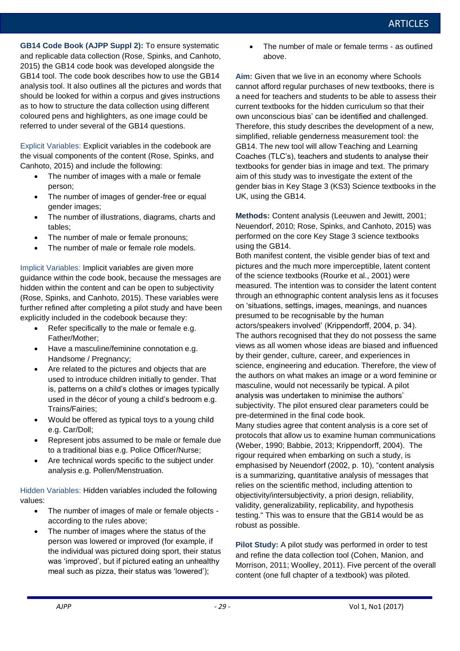**GB14 Code Book (AJPP Suppl 2):** To ensure systematic and replicable data collection (Rose, Spinks, and Canhoto, 2015) the GB14 code book was developed alongside the GB14 tool. The code book describes how to use the GB14 analysis tool. It also outlines all the pictures and words that should be looked for within a corpus and gives instructions as to how to structure the data collection using different coloured pens and highlighters, as one image could be referred to under several of the GB14 questions.

Explicit Variables: Explicit variables in the codebook are the visual components of the content (Rose, Spinks, and Canhoto, 2015) and include the following:

- The number of images with a male or female person;
- The number of images of gender-free or equal gender images;
- The number of illustrations, diagrams, charts and tables;
- The number of male or female pronouns;
- The number of male or female role models.

Implicit Variables: Implicit variables are given more guidance within the code book, because the messages are hidden within the content and can be open to subjectivity (Rose, Spinks, and Canhoto, 2015). These variables were further refined after completing a pilot study and have been explicitly included in the codebook because they:

- Refer specifically to the male or female e.g. Father/Mother;
- Have a masculine/feminine connotation e.g. Handsome / Pregnancy;
- Are related to the pictures and objects that are used to introduce children initially to gender. That is, patterns on a child's clothes or images typically used in the décor of young a child's bedroom e.g. Trains/Fairies;
- Would be offered as typical toys to a young child e.g. Car/Doll;
- Represent jobs assumed to be male or female due to a traditional bias e.g. Police Officer/Nurse;
- Are technical words specific to the subject under analysis e.g. Pollen/Menstruation.

Hidden Variables: Hidden variables included the following values:

- The number of images of male or female objects according to the rules above;
- The number of images where the status of the person was lowered or improved (for example, if the individual was pictured doing sport, their status was 'improved', but if pictured eating an unhealthy meal such as pizza, their status was 'lowered');

 The number of male or female terms - as outlined above.

**Aim:** Given that we live in an economy where Schools cannot afford regular purchases of new textbooks, there is a need for teachers and students to be able to assess their current textbooks for the hidden curriculum so that their own unconscious bias' can be identified and challenged. Therefore, this study describes the development of a new, simplified, reliable genderness measurement tool: the GB14. The new tool will allow Teaching and Learning Coaches (TLC's), teachers and students to analyse their textbooks for gender bias in image and text. The primary aim of this study was to investigate the extent of the gender bias in Key Stage 3 (KS3) Science textbooks in the UK, using the GB14.

**Methods:** Content analysis (Leeuwen and Jewitt, 2001; Neuendorf, 2010; Rose, Spinks, and Canhoto, 2015) was performed on the core Key Stage 3 science textbooks using the GB14.

Both manifest content, the visible gender bias of text and pictures and the much more imperceptible, latent content of the science textbooks (Rourke et al., 2001) were measured. The intention was to consider the latent content through an ethnographic content analysis lens as it focuses on 'situations, settings, images, meanings, and nuances presumed to be recognisable by the human actors/speakers involved' (Krippendorff, 2004, p. 34). The authors recognised that they do not possess the same views as all women whose ideas are biased and influenced by their gender, culture, career, and experiences in science, engineering and education. Therefore, the view of the authors on what makes an image or a word feminine or masculine, would not necessarily be typical. A pilot analysis was undertaken to minimise the authors' subjectivity. The pilot ensured clear parameters could be pre-determined in the final code book.

Many studies agree that content analysis is a core set of protocols that allow us to examine human communications (Weber, 1990; Babbie, 2013; Krippendorff, 2004). The rigour required when embarking on such a study, is emphasised by Neuendorf (2002, p. 10), "content analysis is a summarizing, quantitative analysis of messages that relies on the scientific method, including attention to objectivity/intersubjectivity, a priori design, reliability, validity, generalizability, replicability, and hypothesis testing." This was to ensure that the GB14 would be as robust as possible.

**Pilot Study:** A pilot study was performed in order to test and refine the data collection tool (Cohen, Manion, and Morrison, 2011; Woolley, 2011). Five percent of the overall content (one full chapter of a textbook) was piloted.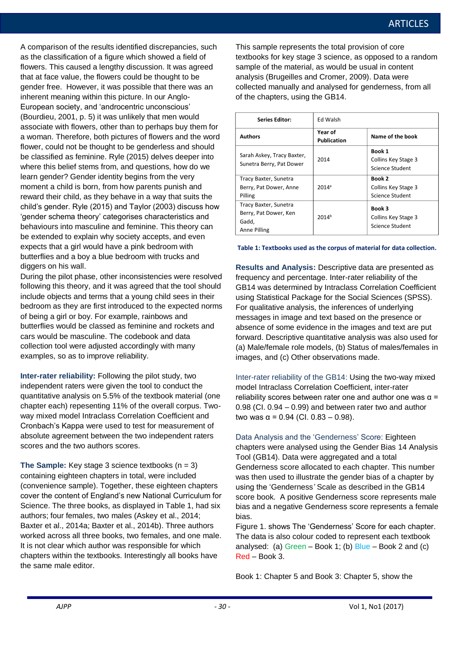A comparison of the results identified discrepancies, such as the classification of a figure which showed a field of flowers. This caused a lengthy discussion. It was agreed that at face value, the flowers could be thought to be gender free. However, it was possible that there was an inherent meaning within this picture. In our Anglo-European society, and 'androcentric unconscious' (Bourdieu, 2001, p. 5) it was unlikely that men would associate with flowers, other than to perhaps buy them for a woman. Therefore, both pictures of flowers and the word flower, could not be thought to be genderless and should be classified as feminine. Ryle (2015) delves deeper into where this belief stems from, and questions, how do we learn gender? Gender identity begins from the very moment a child is born, from how parents punish and reward their child, as they behave in a way that suits the child's gender. Ryle (2015) and Taylor (2003) discuss how 'gender schema theory' categorises characteristics and behaviours into masculine and feminine. This theory can be extended to explain why society accepts, and even expects that a girl would have a pink bedroom with butterflies and a boy a blue bedroom with trucks and diggers on his wall.

During the pilot phase, other inconsistencies were resolved following this theory, and it was agreed that the tool should include objects and terms that a young child sees in their bedroom as they are first introduced to the expected norms of being a girl or boy. For example, rainbows and butterflies would be classed as feminine and rockets and cars would be masculine. The codebook and data collection tool were adjusted accordingly with many examples, so as to improve reliability.

**Inter-rater reliability:** Following the pilot study, two independent raters were given the tool to conduct the quantitative analysis on 5.5% of the textbook material (one chapter each) repesenting 11% of the overall corpus. Twoway mixed model Intraclass Correlation Coefficient and Cronbach's Kappa were used to test for measurement of absolute agreement between the two independent raters scores and the two authors scores.

**The Sample:** Key stage 3 science textbooks (n = 3) containing eighteen chapters in total, were included (convenience sample). Together, these eighteen chapters cover the content of England's new National Curriculum for Science. The three books, as displayed in Table 1, had six authors; four females, two males (Askey et al., 2014; Baxter et al., 2014a; Baxter et al., 2014b). Three authors worked across all three books, two females, and one male. It is not clear which author was responsible for which chapters within the textbooks. Interestingly all books have the same male editor.

This sample represents the total provision of core textbooks for key stage 3 science, as opposed to a random sample of the material, as would be usual in content analysis (Brugeilles and Cromer, 2009). Data were collected manually and analysed for genderness, from all of the chapters, using the GB14.

| Series Editor:                                                          | Ed Walsh                      |                                                  |
|-------------------------------------------------------------------------|-------------------------------|--------------------------------------------------|
| <b>Authors</b>                                                          | Year of<br><b>Publication</b> | Name of the book                                 |
| Sarah Askey, Tracy Baxter,<br>Sunetra Berry, Pat Dower                  | 2014                          | Book 1<br>Collins Key Stage 3<br>Science Student |
| Tracy Baxter, Sunetra<br>Berry, Pat Dower, Anne<br>Pilling              | $2014^a$                      | Book 2<br>Collins Key Stage 3<br>Science Student |
| Tracy Baxter, Sunetra<br>Berry, Pat Dower, Ken<br>Gadd,<br>Anne Pilling | 2014 <sup>b</sup>             | Book 3<br>Collins Key Stage 3<br>Science Student |

**Table 1: Textbooks used as the corpus of material for data collection.**

**Results and Analysis:** Descriptive data are presented as frequency and percentage. Inter-rater reliability of the GB14 was determined by Intraclass Correlation Coefficient using Statistical Package for the Social Sciences (SPSS). For qualitative analysis, the inferences of underlying messages in image and text based on the presence or absence of some evidence in the images and text are put forward. Descriptive quantitative analysis was also used for (a) Male/female role models, (b) Status of males/females in images, and (c) Other observations made.

Inter-rater reliability of the GB14: Using the two-way mixed model Intraclass Correlation Coefficient, inter-rater reliability scores between rater one and author one was  $\alpha$  = 0.98 (CI. 0.94 – 0.99) and between rater two and author two was  $\alpha$  = 0.94 (CI. 0.83 – 0.98).

Data Analysis and the 'Genderness' Score: Eighteen

chapters were analysed using the Gender Bias 14 Analysis Tool (GB14). Data were aggregated and a total Genderness score allocated to each chapter. This number was then used to illustrate the gender bias of a chapter by using the 'Genderness*'* Scale as described in the GB14 score book. A positive Genderness score represents male bias and a negative Genderness score represents a female bias.

Figure 1. shows The 'Genderness' Score for each chapter. The data is also colour coded to represent each textbook analysed: (a) Green – Book 1; (b)  $Blue - Book 2$  and (c) Red – Book 3.

Book 1: Chapter 5 and Book 3: Chapter 5, show the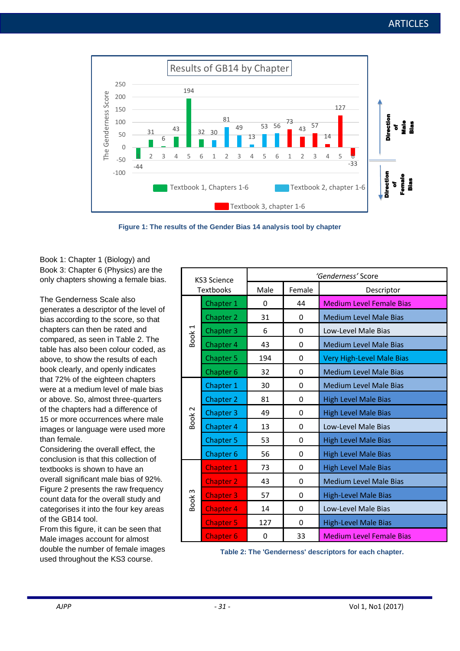

**Figure 1: The results of the Gender Bias 14 analysis tool by chapter** 

Book 1: Chapter 1 (Biology) and Book 3: Chapter 6 (Physics) are the only chapters showing a female bias.

The Genderness Scale also generates a descriptor of the level of bias according to the score, so that chapters can then be rated and compared, as seen in Table 2. The table has also been colour coded, as above, to show the results of each book clearly, and openly indicates that 72% of the eighteen chapters were at a medium level of male bias or above. So, almost three-quarters of the chapters had a difference of 15 or more occurrences where male images or language were used more than female.

Considering the overall effect, the conclusion is that this collection of textbooks is shown to have an overall significant male bias of 92%. Figure 2 presents the raw frequency count data for the overall study and categorises it into the four key areas of the GB14 tool.

 Male images account for almost From this figure, it can be seen that double the number of female images used throughout the KS3 course.

| KS3 Science<br><b>Textbooks</b> |                      | 'Genderness' Score |        |                                  |
|---------------------------------|----------------------|--------------------|--------|----------------------------------|
|                                 |                      | Male               | Female | Descriptor                       |
| Book 1                          | Chapter 1            | 0                  | 44     | <b>Medium Level Female Bias</b>  |
|                                 | Chapter 2            | 31                 | 0      | <b>Medium Level Male Bias</b>    |
|                                 | Chapter 3            | 6                  | 0      | Low-Level Male Bias              |
|                                 | Chapter 4            | 43                 | 0      | <b>Medium Level Male Bias</b>    |
|                                 | Chapter 5            | 194                | 0      | <b>Very High-Level Male Bias</b> |
|                                 | Chapter <sub>6</sub> | 32                 | 0      | <b>Medium Level Male Bias</b>    |
| Book <sub>2</sub>               | Chapter 1            | 30                 | 0      | <b>Medium Level Male Bias</b>    |
|                                 | Chapter 2            | 81                 | 0      | <b>High Level Male Bias</b>      |
|                                 | Chapter 3            | 49                 | 0      | <b>High Level Male Bias</b>      |
|                                 | Chapter 4            | 13                 | 0      | Low-Level Male Bias              |
|                                 | Chapter 5            | 53                 | 0      | <b>High Level Male Bias</b>      |
|                                 | Chapter <sub>6</sub> | 56                 | 0      | <b>High Level Male Bias</b>      |
| Book 3                          | <b>Chapter 1</b>     | 73                 | 0      | <b>High Level Male Bias</b>      |
|                                 | <b>Chapter 2</b>     | 43                 | 0      | <b>Medium Level Male Bias</b>    |
|                                 | <b>Chapter 3</b>     | 57                 | 0      | <b>High-Level Male Bias</b>      |
|                                 | <b>Chapter 4</b>     | 14                 | 0      | Low-Level Male Bias              |
|                                 | <b>Chapter 5</b>     | 127                | 0      | <b>High-Level Male Bias</b>      |
|                                 | <b>Chapter 6</b>     | 0                  | 33     | <b>Medium Level Female Bias</b>  |

**Table 2: The 'Genderness' descriptors for each chapter.**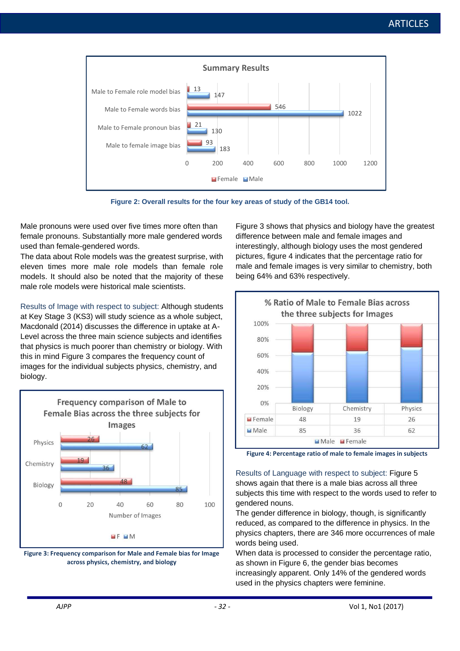

**Figure 2: Overall results for the four key areas of study of the GB14 tool.** 

Male pronouns were used over five times more often than female pronouns. Substantially more male gendered words used than female-gendered words.

 The data about Role models was the greatest surprise, with eleven times more male role models than female role models. It should also be noted that the majority of these male role models were historical male scientists.

Results of Image with respect to subject: Although students at Key Stage 3 (KS3) will study science as a whole subject, Macdonald (2014) discusses the difference in uptake at A-Level across the three main science subjects and identifies that physics is much poorer than chemistry or biology. With this in mind Figure 3 compares the frequency count of images for the individual subjects physics, chemistry, and biology.





Figure 3 shows that physics and biology have the greatest difference between male and female images and interestingly, although biology uses the most gendered pictures, figure 4 indicates that the percentage ratio for male and female images is very similar to chemistry, both being 64% and 63% respectively.



**Figure 4: Percentage ratio of male to female images in subjects**

Results of Language with respect to subject: Figure 5 shows again that there is a male bias across all three subjects this time with respect to the words used to refer to gendered nouns.

The gender difference in biology, though, is significantly reduced, as compared to the difference in physics. In the physics chapters, there are 346 more occurrences of male words being used.

When data is processed to consider the percentage ratio, as shown in Figure 6, the gender bias becomes increasingly apparent. Only 14% of the gendered words used in the physics chapters were feminine.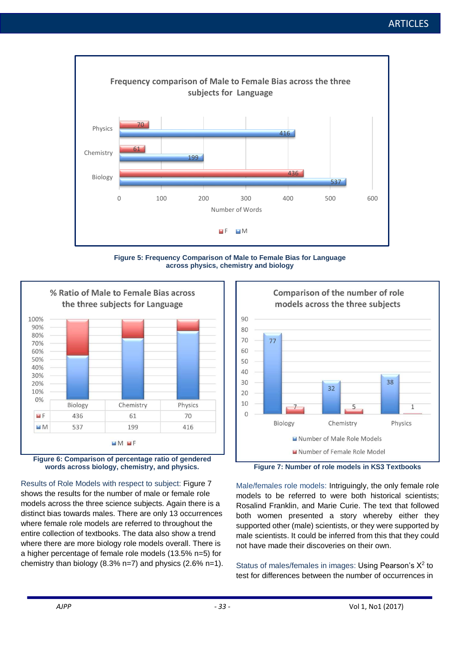

**Figure 5: Frequency Comparison of Male to Female Bias for Language across physics, chemistry and biology** 





Results of Role Models with respect to subject: Figure 7 shows the results for the number of male or female role models across the three science subjects. Again there is a distinct bias towards males. There are only 13 occurrences where female role models are referred to throughout the entire collection of textbooks. The data also show a trend where there are more biology role models overall. There is a higher percentage of female role models (13.5% n=5) for chemistry than biology  $(8.3\% \text{ n=7})$  and physics  $(2.6\% \text{ n=1})$ .



**Figure 7: Number of role models in KS3 Textbooks** 

Male/females role models: Intriguingly, the only female role models to be referred to were both historical scientists; Rosalind Franklin, and Marie Curie. The text that followed both women presented a story whereby either they supported other (male) scientists, or they were supported by male scientists. It could be inferred from this that they could not have made their discoveries on their own.

Status of males/females in images: Using Pearson's  $X^2$  to test for differences between the number of occurrences in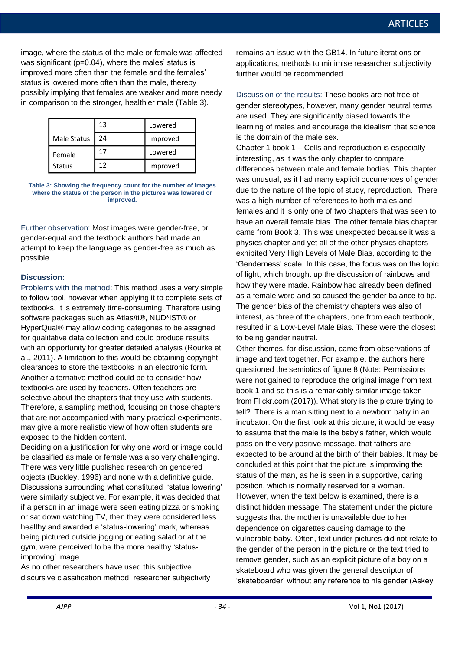image, where the status of the male or female was affected was significant (p=0.04), where the males' status is improved more often than the female and the females' status is lowered more often than the male, thereby possibly implying that females are weaker and more needy in comparison to the stronger, healthier male (Table 3).

|               | 13 | Lowered  |
|---------------|----|----------|
| Male Status   | 24 | Improved |
| Female        | 17 | Lowered  |
| <b>Status</b> | 17 | Improved |

**Table 3: Showing the frequency count for the number of images where the status of the person in the pictures was lowered or improved.** 

Further observation: Most images were gender-free, or gender-equal and the textbook authors had made an attempt to keep the language as gender-free as much as possible.

### **Discussion:**

Problems with the method: This method uses a very simple to follow tool, however when applying it to complete sets of textbooks, it is extremely time-consuming. Therefore using software packages such as Atlas/ti®, NUD\*IST® or HyperQual® may allow coding categories to be assigned for qualitative data collection and could produce results with an opportunity for greater detailed analysis (Rourke et al., 2011). A limitation to this would be obtaining copyright clearances to store the textbooks in an electronic form. Another alternative method could be to consider how textbooks are used by teachers. Often teachers are selective about the chapters that they use with students. Therefore, a sampling method, focusing on those chapters that are not accompanied with many practical experiments, may give a more realistic view of how often students are exposed to the hidden content.

Deciding on a justification for why one word or image could be classified as male or female was also very challenging. There was very little published research on gendered objects (Buckley, 1996) and none with a definitive guide. Discussions surrounding what constituted 'status lowering' were similarly subjective. For example, it was decided that if a person in an image were seen eating pizza or smoking or sat down watching TV, then they were considered less healthy and awarded a 'status-lowering' mark, whereas being pictured outside jogging or eating salad or at the gym, were perceived to be the more healthy 'statusimproving' image.

As no other researchers have used this subjective discursive classification method, researcher subjectivity remains an issue with the GB14. In future iterations or applications, methods to minimise researcher subjectivity further would be recommended.

Discussion of the results: These books are not free of gender stereotypes, however, many gender neutral terms are used. They are significantly biased towards the learning of males and encourage the idealism that science is the domain of the male sex.

Chapter 1 book 1 – Cells and reproduction is especially interesting, as it was the only chapter to compare differences between male and female bodies. This chapter was unusual, as it had many explicit occurrences of gender due to the nature of the topic of study, reproduction. There was a high number of references to both males and females and it is only one of two chapters that was seen to have an overall female bias. The other female bias chapter came from Book 3. This was unexpected because it was a physics chapter and yet all of the other physics chapters exhibited Very High Levels of Male Bias, according to the 'Genderness' scale. In this case, the focus was on the topic of light, which brought up the discussion of rainbows and how they were made. Rainbow had already been defined as a female word and so caused the gender balance to tip. The gender bias of the chemistry chapters was also of interest, as three of the chapters, one from each textbook, resulted in a Low-Level Male Bias. These were the closest to being gender neutral.

Other themes, for discussion, came from observations of image and text together. For example, the authors here questioned the semiotics of figure 8 (Note: Permissions were not gained to reproduce the original image from text book 1 and so this is a remarkably similar image taken from Flickr.com (2017)). What story is the picture trying to tell? There is a man sitting next to a newborn baby in an incubator. On the first look at this picture, it would be easy to assume that the male is the baby's father, which would pass on the very positive message, that fathers are expected to be around at the birth of their babies. It may be concluded at this point that the picture is improving the status of the man, as he is seen in a supportive, caring position, which is normally reserved for a woman. However, when the text below is examined, there is a distinct hidden message. The statement under the picture suggests that the mother is unavailable due to her dependence on cigarettes causing damage to the vulnerable baby. Often, text under pictures did not relate to the gender of the person in the picture or the text tried to remove gender, such as an explicit picture of a boy on a skateboard who was given the general descriptor of 'skateboarder' without any reference to his gender (Askey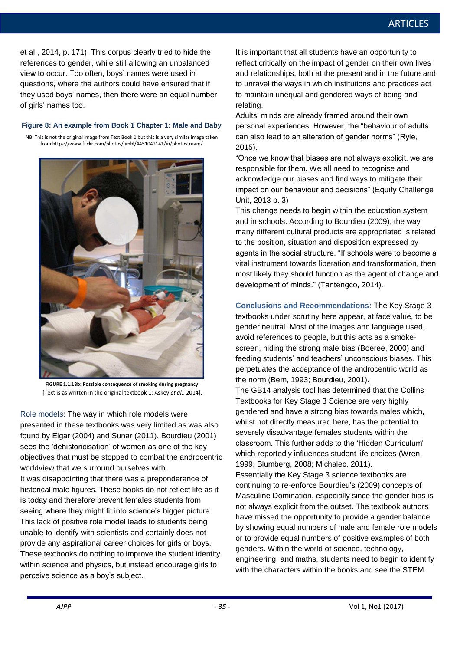et al., 2014, p. 171). This corpus clearly tried to hide the references to gender, while still allowing an unbalanced view to occur. Too often, boys' names were used in questions, where the authors could have ensured that if they used boys' names, then there were an equal number of girls' names too.

### **Figure 8: An example from Book 1 Chapter 1: Male and Baby**

NB: This is not the original image from Text Book 1 but this is a very similar image taken from https://www.flickr.com/photos/jimbl/4451042141/in/photostream/



**FIGURE 1.1.18b: Possible consequence of smoking during pregnancy** [Text is as written in the original textbook 1: Askey *et al*., 2014].

Role models: The way in which role models were presented in these textbooks was very limited as was also found by Elgar (2004) and Sunar (2011). Bourdieu (2001) sees the 'dehistoricisation' of women as one of the key objectives that must be stopped to combat the androcentric worldview that we surround ourselves with.

It was disappointing that there was a preponderance of historical male figures. These books do not reflect life as it is today and therefore prevent females students from seeing where they might fit into science's bigger picture. This lack of positive role model leads to students being unable to identify with scientists and certainly does not provide any aspirational career choices for girls or boys. These textbooks do nothing to improve the student identity within science and physics, but instead encourage girls to perceive science as a boy's subject.

It is important that all students have an opportunity to reflect critically on the impact of gender on their own lives and relationships, both at the present and in the future and to unravel the ways in which institutions and practices act to maintain unequal and gendered ways of being and relating.

Adults' minds are already framed around their own personal experiences. However, the "behaviour of adults can also lead to an alteration of gender norms" (Ryle, 2015).

"Once we know that biases are not always explicit, we are responsible for them. We all need to recognise and acknowledge our biases and find ways to mitigate their impact on our behaviour and decisions" (Equity Challenge Unit, 2013 p. 3)

This change needs to begin within the education system and in schools. According to Bourdieu (2009), the way many different cultural products are appropriated is related to the position, situation and disposition expressed by agents in the social structure. "If schools were to become a vital instrument towards liberation and transformation, then most likely they should function as the agent of change and development of minds." (Tantengco, 2014).

**Conclusions and Recommendations:** The Key Stage 3 textbooks under scrutiny here appear, at face value, to be gender neutral. Most of the images and language used, avoid references to people, but this acts as a smokescreen, hiding the strong male bias (Boeree, 2000) and feeding students' and teachers' unconscious biases. This perpetuates the acceptance of the androcentric world as the norm (Bem, 1993; Bourdieu, 2001).

The GB14 analysis tool has determined that the Collins Textbooks for Key Stage 3 Science are very highly gendered and have a strong bias towards males which, whilst not directly measured here, has the potential to severely disadvantage females students within the classroom. This further adds to the 'Hidden Curriculum' which reportedly influences student life choices (Wren, 1999; Blumberg, 2008; Michalec, 2011).

Essentially the Key Stage 3 science textbooks are continuing to re-enforce Bourdieu's (2009) concepts of Masculine Domination, especially since the gender bias is not always explicit from the outset. The textbook authors have missed the opportunity to provide a gender balance by showing equal numbers of male and female role models or to provide equal numbers of positive examples of both genders. Within the world of science, technology, engineering, and maths, students need to begin to identify with the characters within the books and see the STEM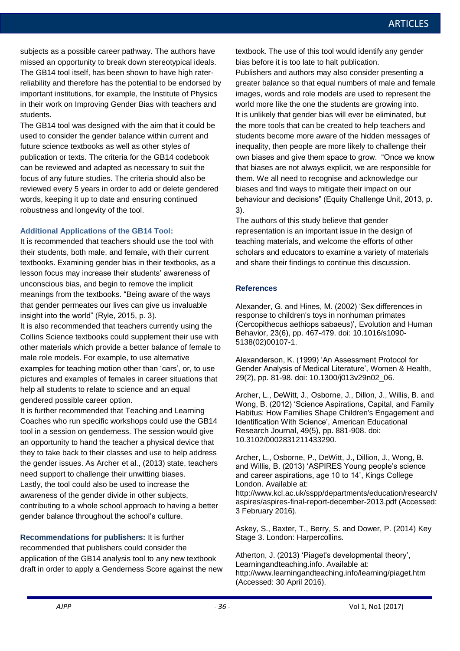subjects as a possible career pathway. The authors have missed an opportunity to break down stereotypical ideals. The GB14 tool itself, has been shown to have high raterreliability and therefore has the potential to be endorsed by important institutions, for example, the Institute of Physics in their work on Improving Gender Bias with teachers and students.

The GB14 tool was designed with the aim that it could be used to consider the gender balance within current and future science textbooks as well as other styles of publication or texts. The criteria for the GB14 codebook can be reviewed and adapted as necessary to suit the focus of any future studies. The criteria should also be reviewed every 5 years in order to add or delete gendered words, keeping it up to date and ensuring continued robustness and longevity of the tool.

### **Additional Applications of the GB14 Tool:**

It is recommended that teachers should use the tool with their students, both male, and female, with their current textbooks. Examining gender bias in their textbooks, as a lesson focus may increase their students' awareness of unconscious bias, and begin to remove the implicit meanings from the textbooks. "Being aware of the ways that gender permeates our lives can give us invaluable insight into the world" (Ryle, 2015, p. 3).

It is also recommended that teachers currently using the Collins Science textbooks could supplement their use with other materials which provide a better balance of female to male role models. For example, to use alternative examples for teaching motion other than 'cars', or, to use pictures and examples of females in career situations that help all students to relate to science and an equal gendered possible career option.

It is further recommended that Teaching and Learning Coaches who run specific workshops could use the GB14 tool in a session on genderness. The session would give an opportunity to hand the teacher a physical device that they to take back to their classes and use to help address the gender issues. As Archer et al., (2013) state, teachers need support to challenge their unwitting biases. Lastly, the tool could also be used to increase the awareness of the gender divide in other subjects, contributing to a whole school approach to having a better gender balance throughout the school's culture.

**Recommendations for publishers:** It is further recommended that publishers could consider the application of the GB14 analysis tool to any new textbook draft in order to apply a Genderness Score against the new textbook. The use of this tool would identify any gender bias before it is too late to halt publication.

Publishers and authors may also consider presenting a greater balance so that equal numbers of male and female images, words and role models are used to represent the world more like the one the students are growing into. It is unlikely that gender bias will ever be eliminated, but the more tools that can be created to help teachers and students become more aware of the hidden messages of inequality, then people are more likely to challenge their own biases and give them space to grow. "Once we know that biases are not always explicit, we are responsible for them. We all need to recognise and acknowledge our biases and find ways to mitigate their impact on our behaviour and decisions" (Equity Challenge Unit, 2013, p. 3).

The authors of this study believe that gender representation is an important issue in the design of teaching materials, and welcome the efforts of other scholars and educators to examine a variety of materials and share their findings to continue this discussion.

### **References**

3 February 2016).

Alexander, G. and Hines, M. (2002) 'Sex differences in response to children's toys in nonhuman primates (Cercopithecus aethiops sabaeus)', Evolution and Human Behavior, 23(6), pp. 467-479. doi: 10.1016/s1090- 5138(02)00107-1.

Alexanderson, K. (1999) 'An Assessment Protocol for Gender Analysis of Medical Literature', Women & Health, 29(2), pp. 81-98. doi: 10.1300/j013v29n02\_06.

Archer, L., DeWitt, J., Osborne, J., Dillon, J., Willis, B. and Wong, B. (2012) 'Science Aspirations, Capital, and Family Habitus: How Families Shape Children's Engagement and Identification With Science', American Educational Research Journal, 49(5), pp. 881-908. doi: 10.3102/0002831211433290.

Archer, L., Osborne, P., DeWitt, J., Dillion, J., Wong, B. and Willis, B. (2013) 'ASPIRES Young people's science and career aspirations, age 10 to 14', Kings College London. Available at: http://www.kcl.ac.uk/sspp/departments/education/research/ aspires/aspires-final-report-december-2013.pdf (Accessed:

Askey, S., Baxter, T., Berry, S. and Dower, P. (2014) Key Stage 3. London: Harpercollins.

Atherton, J. (2013) 'Piaget's developmental theory', Learningandteaching.info. Available at: http://www.learningandteaching.info/learning/piaget.htm (Accessed: 30 April 2016).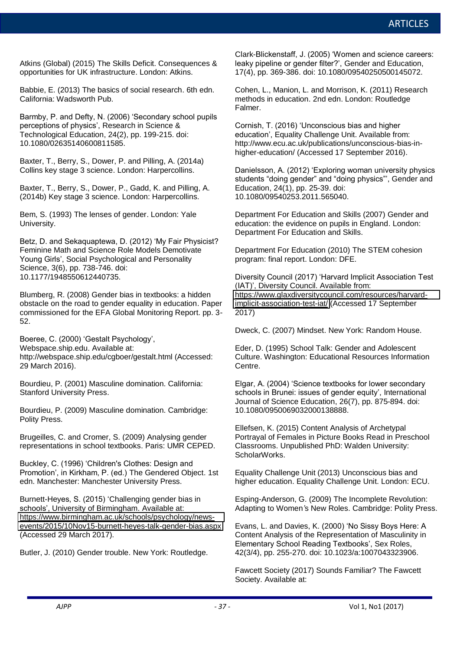Atkins (Global) (2015) The Skills Deficit. Consequences & opportunities for UK infrastructure. London: Atkins.

Babbie, E. (2013) The basics of social research. 6th edn. California: Wadsworth Pub.

Barmby, P. and Defty, N. (2006) 'Secondary school pupils perceptions of physics', Research in Science & Technological Education, 24(2), pp. 199-215. doi: 10.1080/02635140600811585.

Baxter, T., Berry, S., Dower, P. and Pilling, A. (2014a) Collins key stage 3 science. London: Harpercollins.

Baxter, T., Berry, S., Dower, P., Gadd, K. and Pilling, A. (2014b) Key stage 3 science. London: Harpercollins.

Bem, S. (1993) The lenses of gender. London: Yale University.

Betz, D. and Sekaquaptewa, D. (2012) 'My Fair Physicist? Feminine Math and Science Role Models Demotivate Young Girls', Social Psychological and Personality Science, 3(6), pp. 738-746. doi: 10.1177/1948550612440735.

Blumberg, R. (2008) Gender bias in textbooks: a hidden obstacle on the road to gender equality in education. Paper commissioned for the EFA Global Monitoring Report. pp. 3- 52.

Boeree, C. (2000) 'Gestalt Psychology', Webspace.ship.edu. Available at: http://webspace.ship.edu/cgboer/gestalt.html (Accessed: 29 March 2016).

Bourdieu, P. (2001) Masculine domination. California: Stanford University Press.

Bourdieu, P. (2009) Masculine domination. Cambridge: Polity Press.

Brugeilles, C. and Cromer, S. (2009) Analysing gender representations in school textbooks. Paris: UMR CEPED.

Buckley, C. (1996) 'Children's Clothes: Design and Promotion', in Kirkham, P. (ed.) The Gendered Object. 1st edn. Manchester: Manchester University Press.

Burnett-Heyes, S. (2015) 'Challenging gender bias in schools', University of Birmingham. Available at: [https://www.birmingham.ac.uk/schools/psychology/news](https://www.birmingham.ac.uk/schools/psychology/news-events/2015/10Nov15-burnett-heyes-talk-gender-bias.aspx)[events/2015/10Nov15-burnett-heyes-talk-gender-bias.aspx](https://www.birmingham.ac.uk/schools/psychology/news-events/2015/10Nov15-burnett-heyes-talk-gender-bias.aspx)  (Accessed 29 March 2017).

Butler, J. (2010) Gender trouble. New York: Routledge.

Clark-Blickenstaff, J. (2005) 'Women and science careers: leaky pipeline or gender filter?', Gender and Education, 17(4), pp. 369-386. doi: 10.1080/09540250500145072.

Cohen, L., Manion, L. and Morrison, K. (2011) Research methods in education. 2nd edn. London: Routledge Falmer.

Cornish, T. (2016) 'Unconscious bias and higher education', Equality Challenge Unit. Available from: http://www.ecu.ac.uk/publications/unconscious-bias-inhigher-education/ (Accessed 17 September 2016).

Danielsson, A. (2012) 'Exploring woman university physics students "doing gender" and "doing physics"', Gender and Education, 24(1), pp. 25-39. doi: 10.1080/09540253.2011.565040.

Department For Education and Skills (2007) Gender and education: the evidence on pupils in England. London: Department For Education and Skills.

Department For Education (2010) The STEM cohesion program: final report. London: DFE.

Diversity Council (2017) 'Harvard Implicit Association Test (IAT)', Diversity Council. Available from: [https://www.glaxdiversitycouncil.com/resources/harvard](https://www.glaxdiversitycouncil.com/resources/harvard-implicit-association-test-iat/)[implicit-association-test-iat/](https://www.glaxdiversitycouncil.com/resources/harvard-implicit-association-test-iat/) (Accessed 17 September 2017)

Dweck, C. (2007) Mindset. New York: Random House.

Eder, D. (1995) School Talk: Gender and Adolescent Culture. Washington: Educational Resources Information Centre.

Elgar, A. (2004) 'Science textbooks for lower secondary schools in Brunei: issues of gender equity', International Journal of Science Education, 26(7), pp. 875-894. doi: 10.1080/0950069032000138888.

Ellefsen, K. (2015) Content Analysis of Archetypal Portrayal of Females in Picture Books Read in Preschool Classrooms. Unpublished PhD: Walden University: ScholarWorks.

Equality Challenge Unit (2013) Unconscious bias and higher education. Equality Challenge Unit. London: ECU.

Esping-Anderson, G. (2009) The Incomplete Revolution: Adapting to Women*'*s New Roles. Cambridge: Polity Press.

Evans, L. and Davies, K. (2000) 'No Sissy Boys Here: A Content Analysis of the Representation of Masculinity in Elementary School Reading Textbooks', Sex Roles, 42(3/4), pp. 255-270. doi: 10.1023/a:1007043323906.

Fawcett Society (2017) Sounds Familiar? The Fawcett Society. Available at: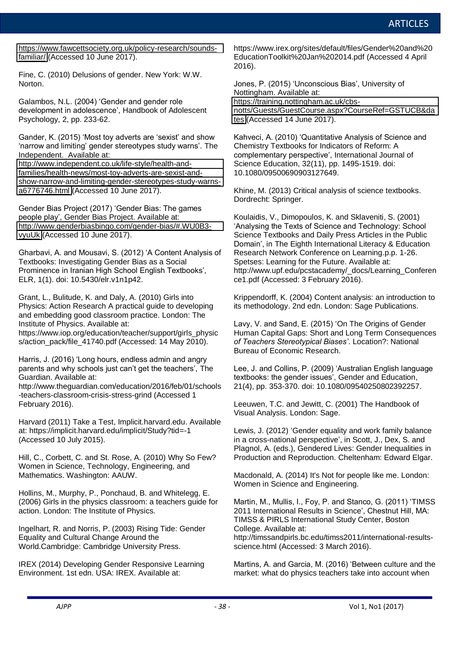[https://www.fawcettsociety.org.uk/policy-research/sounds](https://www.fawcettsociety.org.uk/policy-research/sounds-familiar/)[familiar/](https://www.fawcettsociety.org.uk/policy-research/sounds-familiar/) (Accessed 10 June 2017).

Fine, C. (2010) Delusions of gender. New York: W.W. **Norton** 

Galambos, N.L. (2004) 'Gender and gender role development in adolescence', Handbook of Adolescent Psychology, 2, pp. 233-62.

Gander, K. (2015) 'Most toy adverts are 'sexist' and show 'narrow and limiting' gender stereotypes study warns'. The Independent. Available at: [http://www.independent.co.uk/life-style/health-and](http://www.independent.co.uk/life-style/health-and-families/health-news/most-toy-adverts-are-sexist-and-show-narrow-and-limiting-gender-stereotypes-study-warns-a6776746.html)[families/health-news/most-toy-adverts-are-sexist-and](http://www.independent.co.uk/life-style/health-and-families/health-news/most-toy-adverts-are-sexist-and-show-narrow-and-limiting-gender-stereotypes-study-warns-a6776746.html)[show-narrow-and-limiting-gender-stereotypes-study-warns](http://www.independent.co.uk/life-style/health-and-families/health-news/most-toy-adverts-are-sexist-and-show-narrow-and-limiting-gender-stereotypes-study-warns-a6776746.html)[a6776746.html](http://www.independent.co.uk/life-style/health-and-families/health-news/most-toy-adverts-are-sexist-and-show-narrow-and-limiting-gender-stereotypes-study-warns-a6776746.html) (Accessed 10 June 2017).

Gender Bias Project (2017) 'Gender Bias: The games people play', Gender Bias Project. Available at: [http://www.genderbiasbingo.com/gender-bias/#.WU0B3](http://www.genderbiasbingo.com/gender-bias/#.WU0B3-vyuUk) [vyuUk](http://www.genderbiasbingo.com/gender-bias/#.WU0B3-vyuUk) (Accessed 10 June 2017).

Gharbavi, A. and Mousavi, S. (2012) 'A Content Analysis of Textbooks: Investigating Gender Bias as a Social Prominence in Iranian High School English Textbooks', ELR, 1(1). doi: 10.5430/elr.v1n1p42.

Grant, L., Bulitude, K. and Daly, A. (2010) Girls into Physics: Action Research A practical guide to developing and embedding good classroom practice. London: The Institute of Physics. Available at: https://www.iop.org/education/teacher/support/girls\_physic s/action\_pack/file\_41740.pdf (Accessed: 14 May 2010).

Harris, J. (2016) 'Long hours, endless admin and angry parents and why schools just can't get the teachers', The Guardian. Available at:

http://www.theguardian.com/education/2016/feb/01/schools -teachers-classroom-crisis-stress-grind (Accessed 1 February 2016).

Harvard (2011) Take a Test, Implicit.harvard.edu. Available at: https://implicit.harvard.edu/implicit/Study?tid=-1 (Accessed 10 July 2015).

Hill, C., Corbett, C. and St. Rose, A. (2010) Why So Few? Women in Science, Technology, Engineering, and Mathematics. Washington: AAUW.

Hollins, M., Murphy, P., Ponchaud, B. and Whitelegg, E. (2006) Girls in the physics classroom: a teachers guide for action. London: The Institute of Physics.

Ingelhart, R. and Norris, P. (2003) Rising Tide: Gender Equality and Cultural Change Around the World.Cambridge: Cambridge University Press.

IREX (2014) Developing Gender Responsive Learning Environment. 1st edn. USA: IREX. Available at:

https://www.irex.org/sites/default/files/Gender%20and%20 EducationToolkit%20Jan%202014.pdf (Accessed 4 April 2016).

Jones, P. (2015) 'Unconscious Bias', University of Nottingham. Available at: [https://training.nottingham.ac.uk/cbs](https://training.nottingham.ac.uk/cbs-notts/Guests/GuestCourse.aspx?CourseRef=GSTUCB&dates)[notts/Guests/GuestCourse.aspx?CourseRef=GSTUCB&da](https://training.nottingham.ac.uk/cbs-notts/Guests/GuestCourse.aspx?CourseRef=GSTUCB&dates)

[tes](https://training.nottingham.ac.uk/cbs-notts/Guests/GuestCourse.aspx?CourseRef=GSTUCB&dates) (Accessed 14 June 2017).

Kahveci, A. (2010) 'Quantitative Analysis of Science and Chemistry Textbooks for Indicators of Reform: A complementary perspective', International Journal of Science Education, 32(11), pp. 1495-1519. doi: 10.1080/09500690903127649.

Khine, M. (2013) Critical analysis of science textbooks. Dordrecht: Springer.

Koulaidis, V., Dimopoulos, K. and Sklaveniti, S. (2001) 'Analysing the Texts of Science and Technology: School Science Textbooks and Daily Press Articles in the Public Domain', in The Eighth International Literacy & Education Research Network Conference on Learning.p.p. 1-26. Spetses: Learning for the Future. Available at: http://www.upf.edu/pcstacademy/\_docs/Learning\_Conferen ce1.pdf (Accessed: 3 February 2016).

Krippendorff, K. (2004) Content analysis: an introduction to its methodology. 2nd edn. London: Sage Publications.

Lavy, V. and Sand, E. (2015) 'On The Origins of Gender Human Capital Gaps: Short and Long Term Consequences *of Teachers Stereotypical Biases'*. Location?: National Bureau of Economic Research.

Lee, J. and Collins, P. (2009) 'Australian English language textbooks: the gender issues', Gender and Education, 21(4), pp. 353-370. doi: 10.1080/09540250802392257.

Leeuwen, T.C. and Jewitt, C. (2001) The Handbook of Visual Analysis. London: Sage.

Lewis, J. (2012) 'Gender equality and work family balance in a cross-national perspective', in Scott, J., Dex, S. and Plagnol, A. (eds.), Gendered Lives: Gender Inequalities in Production and Reproduction. Cheltenham: Edward Elgar.

Macdonald, A. (2014) It's Not for people like me. London: Women in Science and Engineering.

Martin, M., Mullis, I., Foy, P. and Stanco, G. (2011) 'TIMSS 2011 International Results in Science', Chestnut Hill, MA: TIMSS & PIRLS International Study Center, Boston College. Available at: http://timssandpirls.bc.edu/timss2011/international-resultsscience.html (Accessed: 3 March 2016).

Martins, A. and Garcia, M. (2016) 'Between culture and the market: what do physics teachers take into account when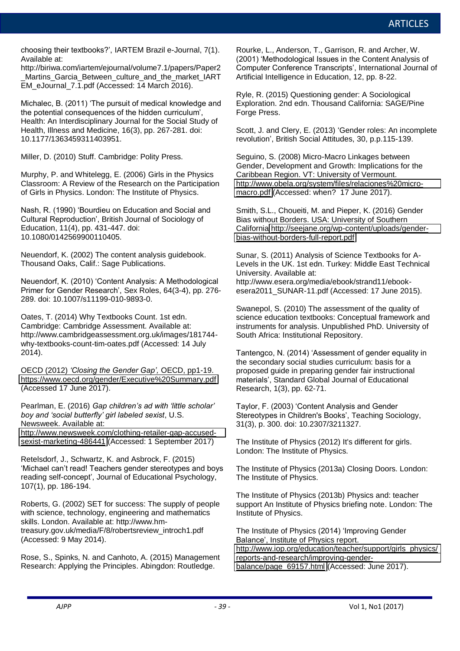choosing their textbooks?', IARTEM Brazil e-Journal, 7(1). Available at:

http://biriwa.com/iartem/ejournal/volume7.1/papers/Paper2 \_Martins\_Garcia\_Between\_culture\_and\_the\_market\_IART EM\_eJournal\_7.1.pdf (Accessed: 14 March 2016).

Michalec, B. (2011) 'The pursuit of medical knowledge and the potential consequences of the hidden curriculum', Health: An Interdisciplinary Journal for the Social Study of Health, Illness and Medicine, 16(3), pp. 267-281. doi: 10.1177/1363459311403951.

Miller, D. (2010) Stuff. Cambridge: Polity Press.

Murphy, P. and Whitelegg, E. (2006) Girls in the Physics Classroom: A Review of the Research on the Participation of Girls in Physics. London: The Institute of Physics.

Nash, R. (1990) 'Bourdieu on Education and Social and Cultural Reproduction', British Journal of Sociology of Education, 11(4), pp. 431-447. doi: 10.1080/0142569900110405.

Neuendorf, K. (2002) The content analysis guidebook. Thousand Oaks, Calif.: Sage Publications.

Neuendorf, K. (2010) 'Content Analysis: A Methodological Primer for Gender Research', Sex Roles, 64(3-4), pp. 276- 289. doi: 10.1007/s11199-010-9893-0.

Oates, T. (2014) Why Textbooks Count. 1st edn. Cambridge: Cambridge Assessment. Available at: http://www.cambridgeassessment.org.uk/images/181744 why-textbooks-count-tim-oates.pdf (Accessed: 14 July 2014).

OECD (2012) *'Closing the Gender Gap',* OECD, pp1-19. <https://www.oecd.org/gender/Executive%20Summary.pdf> (Accessed 17 June 2017).

Pearlman, E. (2016) *Gap children's ad with 'little scholar' boy and 'social butterfly' girl labeled sexist*, U.S. Newsweek. Available at: [http://www.newsweek.com/clothing-retailer-gap-accused](http://www.newsweek.com/clothing-retailer-gap-accused-sexist-marketing-486441)[sexist-marketing-486441](http://www.newsweek.com/clothing-retailer-gap-accused-sexist-marketing-486441) (Accessed: 1 September 2017)

Retelsdorf, J., Schwartz, K. and Asbrock, F. (2015) 'Michael can't read! Teachers gender stereotypes and boys reading self-concept', Journal of Educational Psychology, 107(1), pp. 186-194.

Roberts, G. (2002) SET for success: The supply of people with science, technology, engineering and mathematics skills. London. Available at: http://www.hmtreasury.gov.uk/media/F/8/robertsreview\_introch1.pdf (Accessed: 9 May 2014).

Rose, S., Spinks, N. and Canhoto, A. (2015) Management Research: Applying the Principles. Abingdon: Routledge.

Rourke, L., Anderson, T., Garrison, R. and Archer, W. (2001) 'Methodological Issues in the Content Analysis of Computer Conference Transcripts', International Journal of Artificial Intelligence in Education, 12, pp. 8-22.

Ryle, R. (2015) Questioning gender: A Sociological Exploration. 2nd edn. Thousand California: SAGE/Pine Forge Press.

Scott, J. and Clery, E. (2013) 'Gender roles: An incomplete revolution', British Social Attitudes, 30, p.p.115-139.

Seguino, S. (2008) Micro-Macro Linkages between Gender, Development and Growth: Implications for the Caribbean Region. VT: University of Vermount. [http://www.obela.org/system/files/relaciones%20micro](http://www.obela.org/system/files/relaciones%20micro-macro.pdf)[macro.pdf](http://www.obela.org/system/files/relaciones%20micro-macro.pdf) (Accessed: when? 17 June 2017).

Smith, S.L., Choueiti, M. and Pieper, K. (2016) Gender Bias without Borders. USA: University of Southern Californi[a http://seejane.org/wp-content/uploads/gender](http://seejane.org/wp-content/uploads/gender-bias-without-borders-full-report.pdf)[bias-without-borders-full-report.pdf](http://seejane.org/wp-content/uploads/gender-bias-without-borders-full-report.pdf) 

Sunar, S. (2011) Analysis of Science Textbooks for A-Levels in the UK. 1st edn. Turkey: Middle East Technical University. Available at: http://www.esera.org/media/ebook/strand11/ebookesera2011\_SUNAR-11.pdf (Accessed: 17 June 2015).

Swanepol, S. (2010) The assessment of the quality of science education textbooks: Conceptual framework and instruments for analysis. Unpublished PhD. University of South Africa: Institutional Repository.

Tantengco, N. (2014) 'Assessment of gender equality in the secondary social studies curriculum: basis for a proposed guide in preparing gender fair instructional materials', Standard Global Journal of Educational Research, 1(3), pp. 62-71.

Taylor, F. (2003) 'Content Analysis and Gender Stereotypes in Children's Books', Teaching Sociology, 31(3), p. 300. doi: 10.2307/3211327.

The Institute of Physics (2012) It's different for girls. London: The Institute of Physics.

The Institute of Physics (2013a) Closing Doors. London: The Institute of Physics.

The Institute of Physics (2013b) Physics and: teacher support An Institute of Physics briefing note. London: The Institute of Physics.

The Institute of Physics (2014) 'Improving Gender Balance', Institute of Physics report. [http://www.iop.org/education/teacher/support/girls\\_physics/](http://www.iop.org/education/teacher/support/girls_physics/reports-and-research/improving-gender-balance/page_69157.html) [reports-and-research/improving-gender](http://www.iop.org/education/teacher/support/girls_physics/reports-and-research/improving-gender-balance/page_69157.html)[balance/page\\_69157.html](http://www.iop.org/education/teacher/support/girls_physics/reports-and-research/improving-gender-balance/page_69157.html) (Accessed: June 2017).